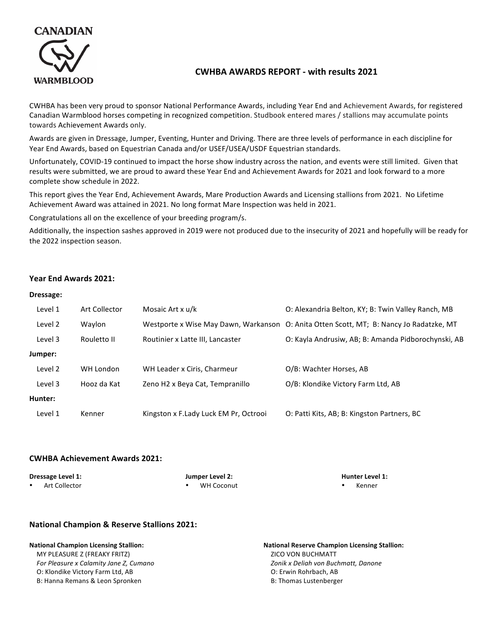

# **CWHBA AWARDS REPORT - with results 2021**

CWHBA has been very proud to sponsor National Performance Awards, including Year End and Achievement Awards, for registered Canadian Warmblood horses competing in recognized competition. Studbook entered mares / stallions may accumulate points towards Achievement Awards only.

Awards are given in Dressage, Jumper, Eventing, Hunter and Driving. There are three levels of performance in each discipline for Year End Awards, based on Equestrian Canada and/or USEF/USEA/USDF Equestrian standards.

Unfortunately, COVID-19 continued to impact the horse show industry across the nation, and events were still limited. Given that results were submitted, we are proud to award these Year End and Achievement Awards for 2021 and look forward to a more complete show schedule in 2022.

This report gives the Year End, Achievement Awards, Mare Production Awards and Licensing stallions from 2021. No Lifetime Achievement Award was attained in 2021. No long format Mare Inspection was held in 2021.

Congratulations all on the excellence of your breeding program/s.

Additionally, the inspection sashes approved in 2019 were not produced due to the insecurity of 2021 and hopefully will be ready for the 2022 inspection season.

# Year End Awards 2021<sup>.</sup>

#### **Dressage:**

| Level 1 | Art Collector | Mosaic Art x u/k                      | O: Alexandria Belton, KY; B: Twin Valley Ranch, MB                                      |
|---------|---------------|---------------------------------------|-----------------------------------------------------------------------------------------|
| Level 2 | Waylon        |                                       | Westporte x Wise May Dawn, Warkanson O: Anita Otten Scott, MT; B: Nancy Jo Radatzke, MT |
| Level 3 | Rouletto II   | Routinier x Latte III, Lancaster      | O: Kayla Andrusiw, AB; B: Amanda Pidborochynski, AB                                     |
| Jumper: |               |                                       |                                                                                         |
| Level 2 | WH London     | WH Leader x Ciris, Charmeur           | O/B: Wachter Horses, AB                                                                 |
| Level 3 | Hooz da Kat   | Zeno H2 x Beya Cat, Tempranillo       | O/B: Klondike Victory Farm Ltd, AB                                                      |
| Hunter: |               |                                       |                                                                                         |
| Level 1 | Kenner        | Kingston x F.Lady Luck EM Pr, Octrooi | O: Patti Kits, AB; B: Kingston Partners, BC                                             |

#### **CWHBA Achievement Awards 2021:**

| Dressage Level 1: |               | Jumper Level 2: | <b>Hunter Level 1:</b> |        |
|-------------------|---------------|-----------------|------------------------|--------|
| $\bullet$ .       | Art Collector | WH Coconut      |                        | Kenner |

### **National Champion & Reserve Stallions 2021:**

#### **National Champion Licensing Stallion:**

MY PLEASURE Z (FREAKY FRITZ) *For Pleasure x Calamity Jane Z, Cumano* O: Klondike Victory Farm Ltd, AB B: Hanna Remans & Leon Spronken

**National Reserve Champion Licensing Stallion:** ZICO VON BUCHMATT *Zonik x Deliah von Buchmatt, Danone* O: Erwin Rohrbach, AB B: Thomas Lustenberger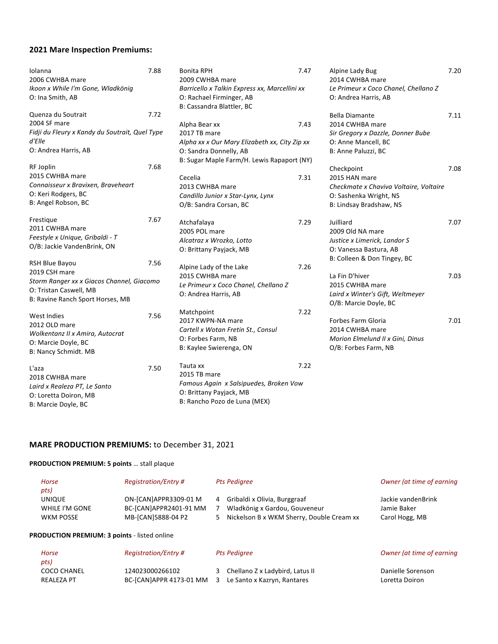# **2021 Mare Inspection Premiums:**

| Iolanna                                        | 7.88 | <b>Bonita RPH</b>                             | 7.47                | Alpine Lady Bug                        |
|------------------------------------------------|------|-----------------------------------------------|---------------------|----------------------------------------|
| 2006 CWHBA mare                                |      | 2009 CWHBA mare                               |                     | 2014 CWHBA mare                        |
| Ikoon x While I'm Gone, Wladkönig              |      | Barricello x Talkin Express xx, Marcellini xx |                     | Le Primeur x Coco Chanel, Chellano Z   |
| O: Ina Smith, AB                               |      | O: Rachael Firminger, AB                      |                     | O: Andrea Harris, AB                   |
|                                                |      | B: Cassandra Blattler, BC                     |                     |                                        |
| Quenza du Soutrait                             | 7.72 |                                               |                     | <b>Bella Diamante</b>                  |
| 2004 SF mare                                   |      | Alpha Bear xx                                 | 7.43                | 2014 CWHBA mare                        |
| Fidji du Fleury x Kandy du Soutrait, Quel Type |      | 2017 TB mare                                  |                     | Sir Gregory x Dazzle, Donner Bube      |
| d'Elle                                         |      | Alpha xx x Our Mary Elizabeth xx, City Zip xx |                     | O: Anne Mancell, BC                    |
| O: Andrea Harris, AB                           |      | O: Sandra Donnelly, AB                        | B: Anne Paluzzi, BC |                                        |
|                                                |      | B: Sugar Maple Farm/H. Lewis Rapaport (NY)    |                     |                                        |
| RF Joplin                                      | 7.68 |                                               |                     | Checkpoint                             |
| 2015 CWHBA mare                                |      | Cecelia                                       | 7.31                | 2015 HAN mare                          |
| Connaisseur x Bravixen, Braveheart             |      | 2013 CWHBA mare                               |                     | Checkmate x Chaviva Voltaire, Voltaire |
| O: Keri Rodgers, BC                            |      | Candillo Junior x Star-Lynx, Lynx             |                     | O: Sashenka Wright, NS                 |
| B: Angel Robson, BC                            |      | O/B: Sandra Corsan, BC                        |                     | B: Lindsay Bradshaw, NS                |
|                                                |      |                                               |                     |                                        |
| Frestique                                      | 7.67 | Atchafalaya                                   | 7.29                | Juilliard                              |
| 2011 CWHBA mare                                |      | 2005 POL mare                                 |                     | 2009 Old NA mare                       |
| Feestyle x Unique, Gribaldi - T                |      | Alcatraz x Wrozko, Lotto                      |                     | Justice x Limerick, Landor S           |
| O/B: Jackie VandenBrink, ON                    |      | O: Brittany Payjack, MB                       |                     | O: Vanessa Bastura, AB                 |
|                                                |      |                                               |                     | B: Colleen & Don Tingey, BC            |
| RSH Blue Bayou                                 | 7.56 | Alpine Lady of the Lake                       | 7.26                |                                        |
| 2019 CSH mare                                  |      | 2015 CWHBA mare                               |                     | La Fin D'hiver                         |
| Storm Ranger xx x Giacos Channel, Giacomo      |      | Le Primeur x Coco Chanel, Chellano Z          |                     | 2015 CWHBA mare                        |
| O: Tristan Caswell, MB                         |      | O: Andrea Harris, AB                          |                     | Laird x Winter's Gift, Weltmeyer       |
| B: Ravine Ranch Sport Horses, MB               |      |                                               |                     | O/B: Marcie Doyle, BC                  |
|                                                |      | Matchpoint                                    | 7.22                |                                        |
| <b>West Indies</b>                             | 7.56 | 2017 KWPN-NA mare                             |                     | Forbes Farm Gloria                     |
| 2012 OLD mare                                  |      | Cartell x Wotan Fretin St., Consul            |                     | 2014 CWHBA mare                        |
| Wolkentanz II x Amira, Autocrat                |      | O: Forbes Farm, NB                            |                     | Morion Elmelund II x Gini, Dinus       |
| O: Marcie Doyle, BC                            |      | B: Kaylee Swierenga, ON                       |                     | O/B: Forbes Farm, NB                   |
| B: Nancy Schmidt. MB                           |      |                                               |                     |                                        |
|                                                |      | Tauta xx                                      | 7.22                |                                        |
| L'aza                                          | 7.50 | 2015 TB mare                                  |                     |                                        |
| 2018 CWHBA mare                                |      | Famous Again x Salsipuedes, Broken Vow        |                     |                                        |
| Laird x Realeza PT, Le Santo                   |      | O: Brittany Payjack, MB                       |                     |                                        |
| O: Loretta Doiron, MB                          |      | B: Rancho Pozo de Luna (MEX)                  |                     |                                        |
| B: Marcie Doyle, BC                            |      |                                               |                     |                                        |

 $7.20$ 

 $7.11$ 

 $7.08$ 

7.07

 $7.03$ 

 $7.01$ 

# **MARE PRODUCTION PREMIUMS:** to December 31, 2021

### **PRODUCTION PREMIUM: 5 points ... stall plaque**

| Horse<br>pts)    | <b>Registration/Entry #</b> | <b>Pts Pedigree</b>                       | Owner (at time of earning |
|------------------|-----------------------------|-------------------------------------------|---------------------------|
| <b>UNIQUE</b>    | ON-[CAN]APPR3309-01 M       | 4 Gribaldi x Olivia, Burggraaf            | Jackie vandenBrink        |
| WHILE I'M GONE   | BC-[CAN]APPR2401-91 MM      | Wladkönig x Gardou, Gouveneur             | Jamie Baker               |
| <b>WKM POSSE</b> | MB-[CAN]5888-04 P2          | Nickelson B x WKM Sherry, Double Cream xx | Carol Hogg, MB            |
|                  |                             |                                           |                           |

### **PRODUCTION PREMIUM: 3 points** - listed online

| Horse             | Registration/Entry #    | Pts Pedigree                      | Owner (at time of earning |
|-------------------|-------------------------|-----------------------------------|---------------------------|
| pts)              |                         |                                   |                           |
| COCO CHANEL       | 124023000266102         | 3 Chellano Z x Ladybird, Latus II | Danielle Sorenson         |
| <b>REALEZA PT</b> | BC-[CAN]APPR 4173-01 MM | 3 Le Santo x Kazryn, Rantares     | Loretta Doiron            |